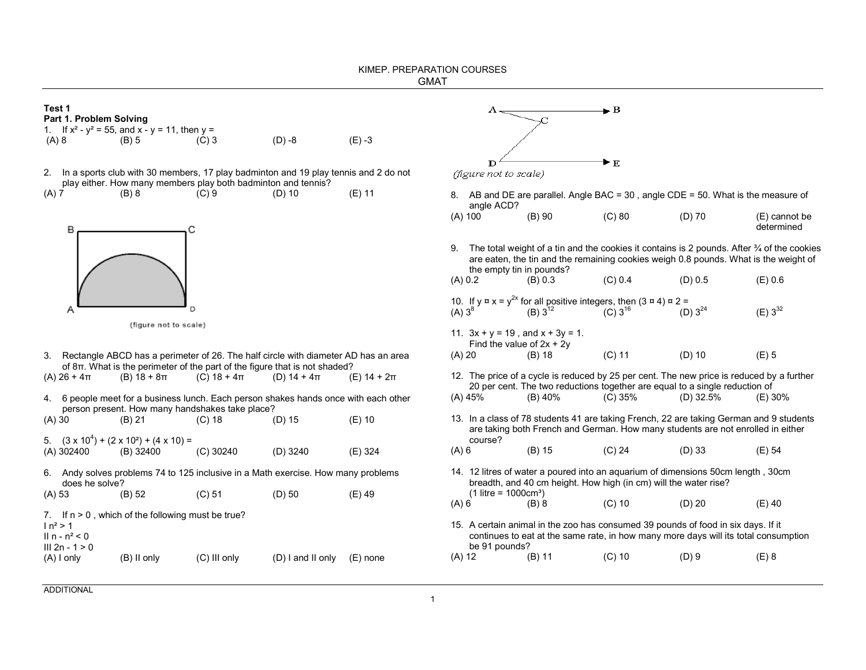#### GMAT

| Test 1<br>Part 1. Problem Solving<br>1.<br>$(A)$ 8                                                                                                                                                                                                                                 | If $x^2 - y^2 = 55$ , and $x - y = 11$ , then $y =$<br>$(B)$ 5                                                                                                  | $(C)$ 3      | $(D) -8$          | $(E) -3$   |  |  |
|------------------------------------------------------------------------------------------------------------------------------------------------------------------------------------------------------------------------------------------------------------------------------------|-----------------------------------------------------------------------------------------------------------------------------------------------------------------|--------------|-------------------|------------|--|--|
| 2.<br>$(A)$ 7                                                                                                                                                                                                                                                                      | In a sports club with 30 members, 17 play badminton and 19 play tennis and 2 do not<br>play either. How many members play both badminton and tennis?<br>$(B)$ 8 | $(C)$ 9      | $(D)$ 10          | $(E)$ 11   |  |  |
| в<br>С<br>Α<br>D                                                                                                                                                                                                                                                                   |                                                                                                                                                                 |              |                   |            |  |  |
|                                                                                                                                                                                                                                                                                    | (figure not to scale)                                                                                                                                           |              |                   |            |  |  |
| 3.<br>Rectangle ABCD has a perimeter of 26. The half circle with diameter AD has an area<br>of $8\pi$ . What is the perimeter of the part of the figure that is not shaded?<br>$(A)$ 26 + 4 $\pi$<br>$(B)$ 18 + 8 $\pi$<br>(C) $18 + 4\pi$<br>(D) $14 + 4\pi$<br>$(E)$ 14 + $2\pi$ |                                                                                                                                                                 |              |                   |            |  |  |
| 4.                                                                                                                                                                                                                                                                                 |                                                                                                                                                                 |              |                   |            |  |  |
| $(A)$ 30                                                                                                                                                                                                                                                                           | 6 people meet for a business lunch. Each person shakes hands once with each other<br>person present. How many handshakes take place?<br>(B) 21                  | $(C)$ 18     | $(D)$ 15          | $(E)$ 10   |  |  |
| 5.<br>(A) 302400                                                                                                                                                                                                                                                                   | $(3 \times 10^{4}) + (2 \times 10^{2}) + (4 \times 10) =$<br>(B) 32400                                                                                          | $(C)$ 30240  | $(D)$ 3240        | (E) 324    |  |  |
| Andy solves problems 74 to 125 inclusive in a Math exercise. How many problems<br>6.                                                                                                                                                                                               |                                                                                                                                                                 |              |                   |            |  |  |
| does he solve?<br>(A) 53                                                                                                                                                                                                                                                           | $(B)$ 52                                                                                                                                                        | (C) 51       | $(D)$ 50          | $(E)$ 49   |  |  |
| If $n > 0$ , which of the following must be true?<br>7.<br>$1 n^2 > 1$<br>$\ln n - n^2 < 0$                                                                                                                                                                                        |                                                                                                                                                                 |              |                   |            |  |  |
| $III 2n - 1 > 0$<br>$(A)$ I only                                                                                                                                                                                                                                                   | $(B)$ II only                                                                                                                                                   | (C) III only | (D) I and II only | $(E)$ none |  |  |



(figure not to scale)

8. AB and DE are parallel. Angle BAC = 30 , angle CDE = 50. What is the measure of angle ACD?<br>(A) 100 (A) 100 (B) 90 (C) 80 (D) 70 (E) cannot be

| טטו וא | טכום) | (0, 0) | ט <i>ו</i> שו | (E) Carlinut De<br>determined |
|--------|-------|--------|---------------|-------------------------------|
|        |       |        |               |                               |

9. The total weight of a tin and the cookies it contains is 2 pounds. After  $\frac{3}{4}$  of the cookies are eaten, the tin and the remaining cookies weigh 0.8 pounds. What is the weight of the empty tin in pounds?<br> $0.2$  (B)  $0.3$ 

| (A) 0.2 | (B) 0.3 | (C) 0.4                                                                                                       | (D) 0.5      | $(E)$ 0.6    |
|---------|---------|---------------------------------------------------------------------------------------------------------------|--------------|--------------|
|         |         | 10. If $y = x = y^{2x}$ for all positive integers, then $(3 \times 4) = (4)3^8$ (B) $3^{12}$ (C) $3^{16}$ (D) |              |              |
|         |         |                                                                                                               | (D) $3^{24}$ | $(E) 3^{32}$ |

|        | 11. $3x + y = 19$ , and $x + 3y = 1$ .<br>Find the value of $2x + 2y$ |        |          |         |
|--------|-----------------------------------------------------------------------|--------|----------|---------|
| (A) 20 | (B) 18                                                                | (C) 11 | $(D)$ 10 | $(E)$ 5 |

- 12. The price of a cycle is reduced by 25 per cent. The new price is reduced by a further 20 per cent. The two reductions together are equal to a single reduction of (A) 45% (B) 40% (C) 35% (D) 32.5% (E) 3 (A) 45% (B) 40% (C) 35% (D) 32.5% (E) 30%
- 13. In a class of 78 students 41 are taking French, 22 are taking German and 9 students are taking both French and German. How many students are not enrolled in either course?
- (A) 6 (B) 15 (C) 24 (D) 33 (E) 54 14. 12 litres of water a poured into an aquarium of dimensions 50cm length , 30cm breadth, and 40 cm height. How high (in cm) will the water rise?  $(1 \text{ litre} = 1000 \text{cm}^3)$ <br>(A) 6  $(8)$  8
- (A) 6 (B) 8 (C) 10 (D) 20 (E) 40
- 15. A certain animal in the zoo has consumed 39 pounds of food in six days. If it continues to eat at the same rate, in how many more days will its total consumption be 91 pounds?<br>(A)  $12$  ( (A) 12 (B) 11 (C) 10 (D) 9 (E) 8

ADDITIONAL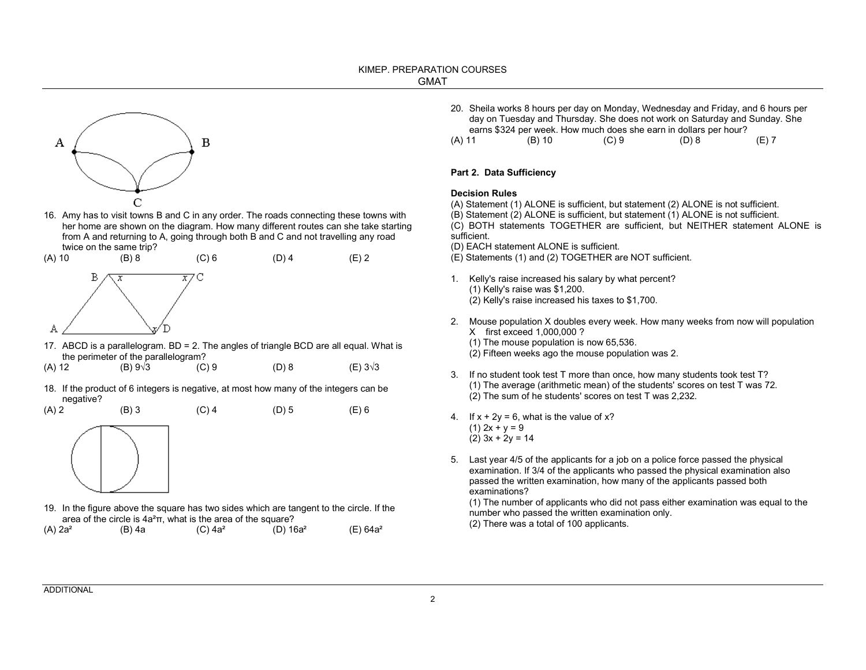# GMAT



16. Amy has to visit towns B and C in any order. The roads connecting these towns with her home are shown on the diagram. How many different routes can she take starting from A and returning to A, going through both B and C and not travelling any road twice on the same trip?



17. ABCD is a parallelogram. BD = 2. The angles of triangle BCD are all equal. What is the perimeter of the parallelogram?

| (A) 12<br>$(B) 9\sqrt{3}$ | (C)9 | $(D)$ 8 | $(E)$ 3 $\sqrt{3}$ |  |
|---------------------------|------|---------|--------------------|--|
|                           |      |         |                    |  |

18. If the product of 6 integers is negative, at most how many of the integers can be negative?



19. In the figure above the square has two sides which are tangent to the circle. If the area of the circle is  $4a<sup>2</sup>π$ , what is the area of the square?

| (A) 2a <sup>2</sup> | (B) 4a | $(C)$ 4a <sup>2</sup> | (D) $16a^2$ | (E) 64a <del>°</del> |
|---------------------|--------|-----------------------|-------------|----------------------|
|---------------------|--------|-----------------------|-------------|----------------------|

20. Sheila works 8 hours per day on Monday, Wednesday and Friday, and 6 hours per day on Tuesday and Thursday. She does not work on Saturday and Sunday. She earns \$324 per week. How much does she earn in dollars per hour?<br>11 (B) 10 (C) 9 (D) 8 (A) 11 (B) 10 (C) 9 (D) 8 (E) 7

# Part 2. Data Sufficiency

#### Decision Rules

(A) Statement (1) ALONE is sufficient, but statement (2) ALONE is not sufficient.

(B) Statement (2) ALONE is sufficient, but statement (1) ALONE is not sufficient.

(C) BOTH statements TOGETHER are sufficient, but NEITHER statement ALONE is sufficient.

(D) EACH statement ALONE is sufficient.

(E) Statements (1) and (2) TOGETHER are NOT sufficient.

- 1. Kelly's raise increased his salary by what percent? (1) Kelly's raise was \$1,200. (2) Kelly's raise increased his taxes to \$1,700.
- 2. Mouse population X doubles every week. How many weeks from now will population X first exceed 1,000,000 ? (1) The mouse population is now 65,536.

(2) Fifteen weeks ago the mouse population was 2.

- 3. If no student took test T more than once, how many students took test T? (1) The average (arithmetic mean) of the students' scores on test T was 72. (2) The sum of he students' scores on test T was 2,232.
- 4. If  $x + 2y = 6$ , what is the value of  $x$ ?  $(1)$  2x + y = 9 (2) 3x + 2y = 14
- 5. Last year 4/5 of the applicants for a job on a police force passed the physical examination. If 3/4 of the applicants who passed the physical examination also passed the written examination, how many of the applicants passed both examinations?

(1) The number of applicants who did not pass either examination was equal to the number who passed the written examination only. (2) There was a total of 100 applicants.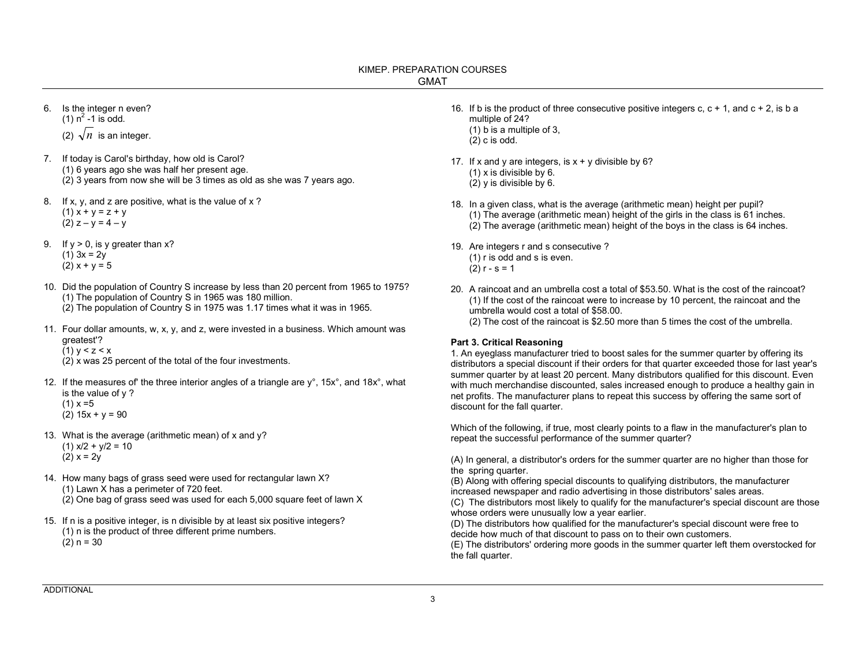- 6. Is the integer n even?  $(1)$  n<sup>2</sup> -1 is odd. (2)  $\sqrt{n}$  is an integer.
- 7. If today is Carol's birthday, how old is Carol? (1) 6 years ago she was half her present age. (2) 3 years from now she will be 3 times as old as she was 7 years ago.
- 8. If x, y, and z are positive, what is the value of x?  $(1) x + y = z + y$ (2)  $z - y = 4 - y$
- 9. If  $y > 0$ , is y greater than  $x$ ?  $(1)$   $3x = 2y$  $(2) x + y = 5$
- 10. Did the population of Country S increase by less than 20 percent from 1965 to 1975? (1) The population of Country S in 1965 was 180 million. (2) The population of Country S in 1975 was 1.17 times what it was in 1965.
- 11. Four dollar amounts, w, x, y, and z, were invested in a business. Which amount was greatest'? (1)  $v < z < x$

(2) x was 25 percent of the total of the four investments.

- 12. If the measures of the three interior angles of a triangle are  $y^\circ$ , 15x°, and 18x°, what is the value of y ?  $(1) \times = 5$ 
	- (2) 15x + y = 90
- 13. What is the average (arithmetic mean) of x and y?  $(1) x/2 + y/2 = 10$  $(2) x = 2y$
- 14. How many bags of grass seed were used for rectangular lawn X? (1) Lawn X has a perimeter of 720 feet. (2) One bag of grass seed was used for each 5,000 square feet of lawn X
- 15. If n is a positive integer, is n divisible by at least six positive integers? (1) n is the product of three different prime numbers.  $(2) n = 30$
- 16. If b is the product of three consecutive positive integers c,  $c + 1$ , and  $c + 2$ , is b a multiple of 24? (1) b is a multiple of 3, (2) c is odd.
- 17. If x and y are integers, is  $x + y$  divisible by 6? (1) x is divisible by 6. (2) y is divisible by 6.
- 18. In a given class, what is the average (arithmetic mean) height per pupil? (1) The average (arithmetic mean) height of the girls in the class is 61 inches. (2) The average (arithmetic mean) height of the boys in the class is 64 inches.
- 19. Are integers r and s consecutive ? (1) r is odd and s is even.  $(2) r - s = 1$
- 20. A raincoat and an umbrella cost a total of \$53.50. What is the cost of the raincoat? (1) If the cost of the raincoat were to increase by 10 percent, the raincoat and the umbrella would cost a total of \$58.00.

(2) The cost of the raincoat is \$2.50 more than 5 times the cost of the umbrella.

# Part 3. Critical Reasoning

1. An eyeglass manufacturer tried to boost sales for the summer quarter by offering its distributors a special discount if their orders for that quarter exceeded those for last year's summer quarter by at least 20 percent. Many distributors qualified for this discount. Even with much merchandise discounted, sales increased enough to produce a healthy gain in net profits. The manufacturer plans to repeat this success by offering the same sort of discount for the fall quarter.

Which of the following, if true, most clearly points to a flaw in the manufacturer's plan to repeat the successful performance of the summer quarter?

(A) In general, a distributor's orders for the summer quarter are no higher than those for the spring quarter.

(B) Along with offering special discounts to qualifying distributors, the manufacturer increased newspaper and radio advertising in those distributors' sales areas.

(C) The distributors most likely to qualify for the manufacturer's special discount are those whose orders were unusually low a year earlier.

(D) The distributors how qualified for the manufacturer's special discount were free to decide how much of that discount to pass on to their own customers.

(E) The distributors' ordering more goods in the summer quarter left them overstocked for the fall quarter.

ADDITIONAL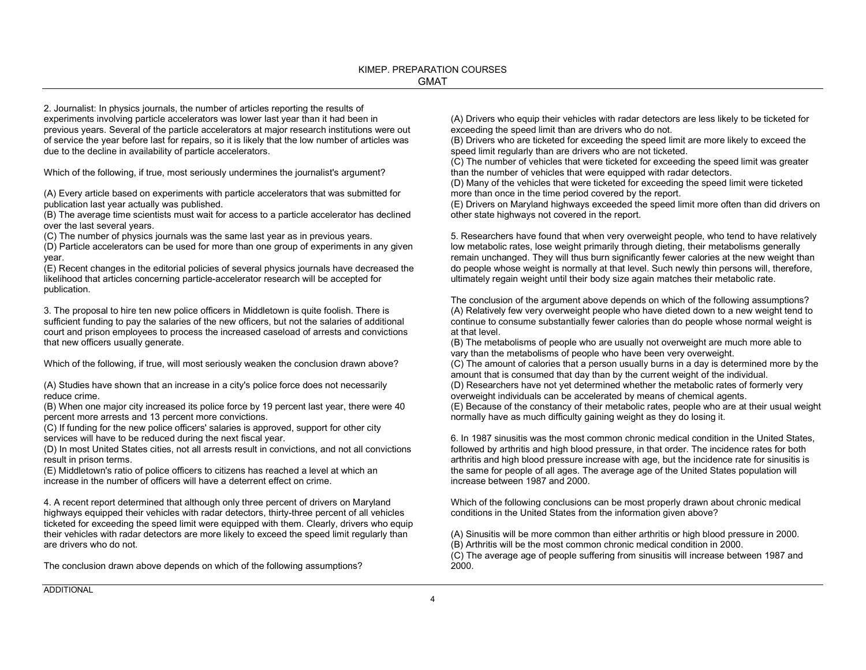2. Journalist: In physics journals, the number of articles reporting the results of experiments involving particle accelerators was lower last year than it had been in previous years. Several of the particle accelerators at major research institutions were out of service the year before last for repairs, so it is likely that the low number of articles was due to the decline in availability of particle accelerators.

Which of the following, if true, most seriously undermines the journalist's argument?

(A) Every article based on experiments with particle accelerators that was submitted for publication last year actually was published.

(B) The average time scientists must wait for access to a particle accelerator has declined over the last several years.

(C) The number of physics journals was the same last year as in previous years.

(D) Particle accelerators can be used for more than one group of experiments in any given year.

(E) Recent changes in the editorial policies of several physics journals have decreased the likelihood that articles concerning particle-accelerator research will be accepted for publication.

3. The proposal to hire ten new police officers in Middletown is quite foolish. There is sufficient funding to pay the salaries of the new officers, but not the salaries of additional court and prison employees to process the increased caseload of arrests and convictions that new officers usually generate.

Which of the following, if true, will most seriously weaken the conclusion drawn above?

(A) Studies have shown that an increase in a city's police force does not necessarily reduce crime.

(B) When one major city increased its police force by 19 percent last year, there were 40 percent more arrests and 13 percent more convictions.

(C) If funding for the new police officers' salaries is approved, support for other city services will have to be reduced during the next fiscal year.

(D) In most United States cities, not all arrests result in convictions, and not all convictions result in prison terms.

(E) Middletown's ratio of police officers to citizens has reached a level at which an increase in the number of officers will have a deterrent effect on crime.

4. A recent report determined that although only three percent of drivers on Maryland highways equipped their vehicles with radar detectors, thirty-three percent of all vehicles ticketed for exceeding the speed limit were equipped with them. Clearly, drivers who equip their vehicles with radar detectors are more likely to exceed the speed limit regularly than are drivers who do not.

The conclusion drawn above depends on which of the following assumptions?

(A) Drivers who equip their vehicles with radar detectors are less likely to be ticketed for exceeding the speed limit than are drivers who do not.

(B) Drivers who are ticketed for exceeding the speed limit are more likely to exceed the speed limit regularly than are drivers who are not ticketed.

(C) The number of vehicles that were ticketed for exceeding the speed limit was greater than the number of vehicles that were equipped with radar detectors.

(D) Many of the vehicles that were ticketed for exceeding the speed limit were ticketed more than once in the time period covered by the report.

(E) Drivers on Maryland highways exceeded the speed limit more often than did drivers on other state highways not covered in the report.

5. Researchers have found that when very overweight people, who tend to have relatively low metabolic rates, lose weight primarily through dieting, their metabolisms generally remain unchanged. They will thus burn significantly fewer calories at the new weight than do people whose weight is normally at that level. Such newly thin persons will, therefore, ultimately regain weight until their body size again matches their metabolic rate.

The conclusion of the argument above depends on which of the following assumptions? (A) Relatively few very overweight people who have dieted down to a new weight tend to continue to consume substantially fewer calories than do people whose normal weight is at that level.

(B) The metabolisms of people who are usually not overweight are much more able to vary than the metabolisms of people who have been very overweight.

(C) The amount of calories that a person usually burns in a day is determined more by the amount that is consumed that day than by the current weight of the individual. (D) Researchers have not yet determined whether the metabolic rates of formerly very overweight individuals can be accelerated by means of chemical agents. (E) Because of the constancy of their metabolic rates, people who are at their usual weight normally have as much difficulty gaining weight as they do losing it.

6. In 1987 sinusitis was the most common chronic medical condition in the United States, followed by arthritis and high blood pressure, in that order. The incidence rates for both arthritis and high blood pressure increase with age, but the incidence rate for sinusitis is the same for people of all ages. The average age of the United States population will increase between 1987 and 2000.

Which of the following conclusions can be most properly drawn about chronic medical conditions in the United States from the information given above?

(A) Sinusitis will be more common than either arthritis or high blood pressure in 2000. (B) Arthritis will be the most common chronic medical condition in 2000. (C) The average age of people suffering from sinusitis will increase between 1987 and 2000.

ADDITIONAL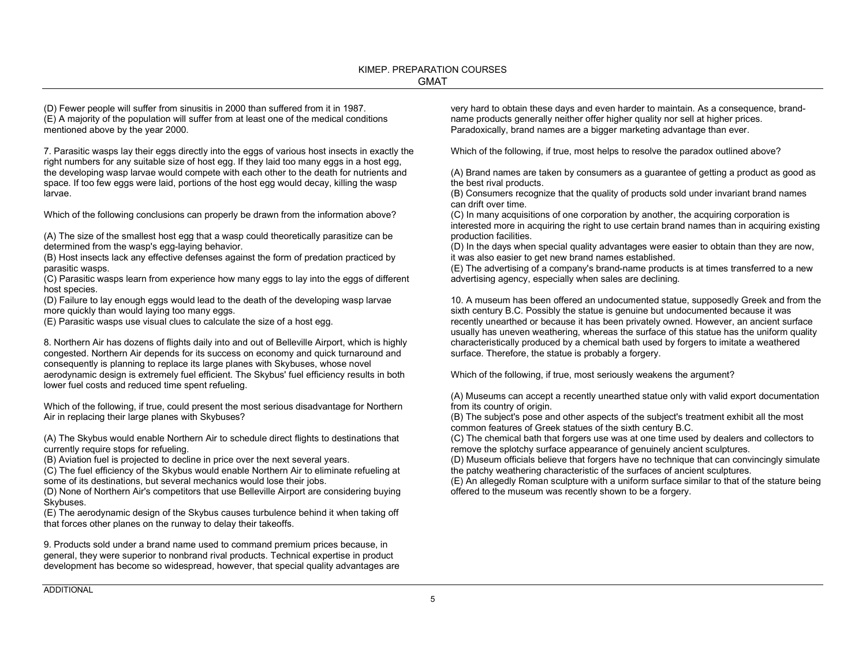(D) Fewer people will suffer from sinusitis in 2000 than suffered from it in 1987. (E) A majority of the population will suffer from at least one of the medical conditions mentioned above by the year 2000.

7. Parasitic wasps lay their eggs directly into the eggs of various host insects in exactly the right numbers for any suitable size of host egg. If they laid too many eggs in a host egg, the developing wasp larvae would compete with each other to the death for nutrients and space. If too few eggs were laid, portions of the host egg would decay, killing the wasp larvae.

Which of the following conclusions can properly be drawn from the information above?

(A) The size of the smallest host egg that a wasp could theoretically parasitize can be determined from the wasp's egg-laying behavior.

(B) Host insects lack any effective defenses against the form of predation practiced by parasitic wasps.

(C) Parasitic wasps learn from experience how many eggs to lay into the eggs of different host species.

(D) Failure to lay enough eggs would lead to the death of the developing wasp larvae more quickly than would laying too many eggs.

(E) Parasitic wasps use visual clues to calculate the size of a host egg.

8. Northern Air has dozens of flights daily into and out of Belleville Airport, which is highly congested. Northern Air depends for its success on economy and quick turnaround and consequently is planning to replace its large planes with Skybuses, whose novel aerodynamic design is extremely fuel efficient. The Skybus' fuel efficiency results in both lower fuel costs and reduced time spent refueling.

Which of the following, if true, could present the most serious disadvantage for Northern Air in replacing their large planes with Skybuses?

(A) The Skybus would enable Northern Air to schedule direct flights to destinations that currently require stops for refueling.

(B) Aviation fuel is projected to decline in price over the next several years.

(C) The fuel efficiency of the Skybus would enable Northern Air to eliminate refueling at some of its destinations, but several mechanics would lose their jobs.

(D) None of Northern Air's competitors that use Belleville Airport are considering buying Skybuses.

(E) The aerodynamic design of the Skybus causes turbulence behind it when taking off that forces other planes on the runway to delay their takeoffs.

9. Products sold under a brand name used to command premium prices because, in general, they were superior to nonbrand rival products. Technical expertise in product development has become so widespread, however, that special quality advantages are very hard to obtain these days and even harder to maintain. As a consequence, brandname products generally neither offer higher quality nor sell at higher prices. Paradoxically, brand names are a bigger marketing advantage than ever.

Which of the following, if true, most helps to resolve the paradox outlined above?

(A) Brand names are taken by consumers as a guarantee of getting a product as good as the best rival products.

(B) Consumers recognize that the quality of products sold under invariant brand names can drift over time.

(C) In many acquisitions of one corporation by another, the acquiring corporation is interested more in acquiring the right to use certain brand names than in acquiring existing production facilities.

(D) In the days when special quality advantages were easier to obtain than they are now, it was also easier to get new brand names established.

(E) The advertising of a company's brand-name products is at times transferred to a new advertising agency, especially when sales are declining.

10. A museum has been offered an undocumented statue, supposedly Greek and from the sixth century B.C. Possibly the statue is genuine but undocumented because it was recently unearthed or because it has been privately owned. However, an ancient surface usually has uneven weathering, whereas the surface of this statue has the uniform quality characteristically produced by a chemical bath used by forgers to imitate a weathered surface. Therefore, the statue is probably a forgery.

Which of the following, if true, most seriously weakens the argument?

(A) Museums can accept a recently unearthed statue only with valid export documentation from its country of origin.

(B) The subject's pose and other aspects of the subject's treatment exhibit all the most common features of Greek statues of the sixth century B.C.

(C) The chemical bath that forgers use was at one time used by dealers and collectors to remove the splotchy surface appearance of genuinely ancient sculptures.

(D) Museum officials believe that forgers have no technique that can convincingly simulate the patchy weathering characteristic of the surfaces of ancient sculptures.

(E) An allegedly Roman sculpture with a uniform surface similar to that of the stature being offered to the museum was recently shown to be a forgery.